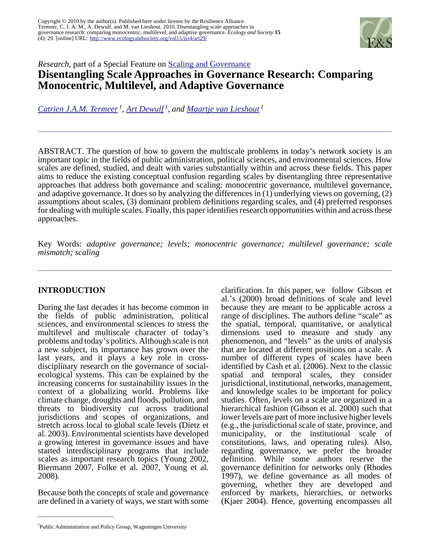

*Research*, part of a Special Feature on [Scaling and Governance](http://www.ecologyandsociety.org/viewissue.php?sf=57)

# **Disentangling Scale Approaches in Governance Research: Comparing Monocentric, Multilevel, and Adaptive Governance**

*[Catrien J.A.M. Termeer](mailto:katrien.termeer@wur.nl)<sup>1</sup> , [Art Dewulf](mailto:art.dewulf@wur.nl)<sup>1</sup>, and [Maartje van Lieshout](mailto:maartje.vanlieshout@wur.nl)<sup>1</sup>*

ABSTRACT. The question of how to govern the multiscale problems in today's network society is an important topic in the fields of public administration, political sciences, and environmental sciences. How scales are defined, studied, and dealt with varies substantially within and across these fields. This paper aims to reduce the existing conceptual confusion regarding scales by disentangling three representative approaches that address both governance and scaling: monocentric governance, multilevel governance, and adaptive governance. It does so by analyzing the differences in (1) underlying views on governing, (2) assumptions about scales, (3) dominant problem definitions regarding scales, and (4) preferred responses for dealing with multiple scales. Finally, this paper identifies research opportunities within and across these approaches.

Key Words: *adaptive governance; levels; monocentric governance; multilevel governance; scale mismatch; scaling* 

## **INTRODUCTION**

During the last decades it has become common in the fields of public administration, political sciences, and environmental sciences to stress the multilevel and multiscale character of today's problems and today's politics. Although scale is not a new subject, its importance has grown over the last years, and it plays a key role in crossdisciplinary research on the governance of socialecological systems. This can be explained by the increasing concerns for sustainability issues in the context of a globalizing world. Problems like climate change, droughts and floods, pollution, and threats to biodiversity cut across traditional jurisdictions and scopes of organizations, and stretch across local to global scale levels (Dietz et al. 2003). Environmental scientists have developed a growing interest in governance issues and have started interdisciplinary programs that include scales as important research topics (Young 2002, Biermann 2007, Folke et al. 2007, Young et al. 2008).

Because both the concepts of scale and governance are defined in a variety of ways, we start with some clarification. In this paper, we follow Gibson et al.'s (2000) broad definitions of scale and level because they are meant to be applicable across a range of disciplines. The authors define "scale" as the spatial, temporal, quantitative, or analytical dimensions used to measure and study any phenomenon, and "levels" as the units of analysis that are located at different positions on a scale. A number of different types of scales have been identified by Cash et al. (2006). Next to the classic spatial and temporal scales, they consider jurisdictional, institutional, networks, management, and knowledge scales to be important for policy studies. Often, levels on a scale are organized in a hierarchical fashion (Gibson et al. 2000) such that lower levels are part of more inclusive higher levels (e.g., the jurisdictional scale of state, province, and municipality, or the institutional scale of constitutions, laws, and operating rules). Also, regarding governance, we prefer the broader definition. While some authors reserve the governance definition for networks only (Rhodes 1997), we define governance as all modes of governing, whether they are developed and enforced by markets, hierarchies, or networks (Kjaer 2004). Hence, governing encompasses all

<sup>&</sup>lt;sup>1</sup>Public Administration and Policy Group, Wageningen University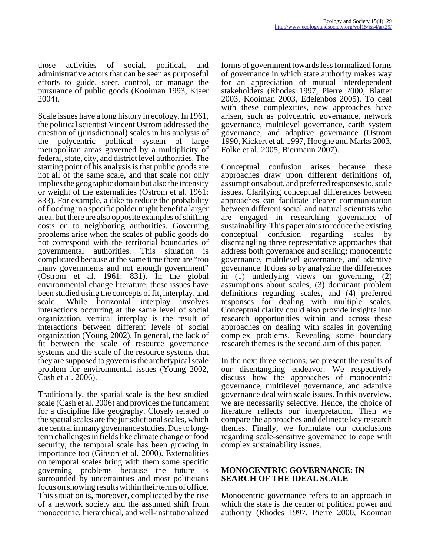those activities of social, political, and administrative actors that can be seen as purposeful efforts to guide, steer, control, or manage the pursuance of public goods (Kooiman 1993, Kjaer 2004).

Scale issues have a long history in ecology. In 1961, the political scientist Vincent Ostrom addressed the question of (jurisdictional) scales in his analysis of the polycentric political system of large metropolitan areas governed by a multiplicity of federal, state, city, and district level authorities. The starting point of his analysis is that public goods are not all of the same scale, and that scale not only implies the geographic domain but also the intensity or weight of the externalities (Ostrom et al. 1961: 833). For example, a dike to reduce the probability of flooding in a specific polder might benefit a larger area, but there are also opposite examples of shifting costs on to neighboring authorities. Governing problems arise when the scales of public goods do not correspond with the territorial boundaries of governmental authorities. This situation is complicated because at the same time there are "too many governments and not enough government" (Ostrom et al. 1961: 831). In the global environmental change literature, these issues have been studied using the concepts of fit, interplay, and scale. While horizontal interplay involves interactions occurring at the same level of social organization, vertical interplay is the result of interactions between different levels of social organization (Young 2002). In general, the lack of fit between the scale of resource governance systems and the scale of the resource systems that they are supposed to govern is the archetypical scale problem for environmental issues (Young 2002, Cash et al. 2006).

Traditionally, the spatial scale is the best studied scale (Cash et al. 2006) and provides the fundament for a discipline like geography. Closely related to the spatial scales are the jurisdictional scales, which are central in many governance studies. Due to longterm challenges in fields like climate change or food security, the temporal scale has been growing in importance too (Gibson et al. 2000). Externalities on temporal scales bring with them some specific governing problems because the future is surrounded by uncertainties and most politicians focus on showing results within their terms of office. This situation is, moreover, complicated by the rise of a network society and the assumed shift from monocentric, hierarchical, and well-institutionalized

forms of government towards less formalized forms of governance in which state authority makes way for an appreciation of mutual interdependent stakeholders (Rhodes 1997, Pierre 2000, Blatter 2003, Kooiman 2003, Edelenbos 2005). To deal with these complexities, new approaches have arisen, such as polycentric governance, network governance, multilevel governance, earth system governance, and adaptive governance (Ostrom 1990, Kickert et al. 1997, Hooghe and Marks 2003, Folke et al. 2005, Biermann 2007).

Conceptual confusion arises because these approaches draw upon different definitions of, assumptions about, and preferred responses to, scale issues. Clarifying conceptual differences between approaches can facilitate clearer communication between different social and natural scientists who are engaged in researching governance of sustainability. This paper aims to reduce the existing conceptual confusion regarding scales by disentangling three representative approaches that address both governance and scaling: monocentric governance, multilevel governance, and adaptive governance. It does so by analyzing the differences in (1) underlying views on governing, (2) assumptions about scales, (3) dominant problem definitions regarding scales, and (4) preferred responses for dealing with multiple scales. Conceptual clarity could also provide insights into research opportunities within and across these approaches on dealing with scales in governing complex problems. Revealing some boundary research themes is the second aim of this paper.

In the next three sections, we present the results of our disentangling endeavor. We respectively discuss how the approaches of monocentric governance, multilevel governance, and adaptive governance deal with scale issues. In this overview, we are necessarily selective. Hence, the choice of literature reflects our interpretation. Then we compare the approaches and delineate key research themes. Finally, we formulate our conclusions regarding scale-sensitive governance to cope with complex sustainability issues.

#### **MONOCENTRIC GOVERNANCE: IN SEARCH OF THE IDEAL SCALE**

Monocentric governance refers to an approach in which the state is the center of political power and authority (Rhodes 1997, Pierre 2000, Kooiman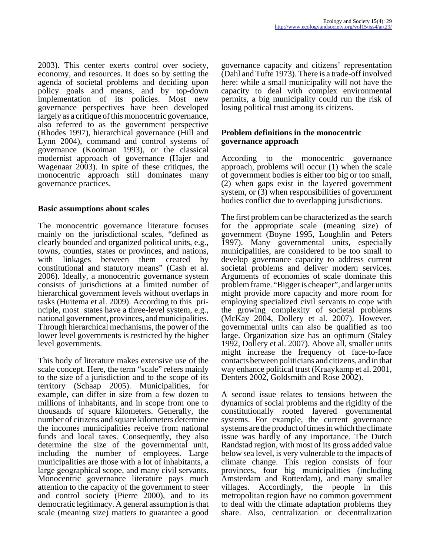2003). This center exerts control over society, economy, and resources. It does so by setting the agenda of societal problems and deciding upon policy goals and means, and by top-down implementation of its policies. Most new governance perspectives have been developed largely as a critique of this monocentric governance, also referred to as the government perspective (Rhodes 1997), hierarchical governance (Hill and Lynn 2004), command and control systems of governance (Kooiman 1993), or the classical modernist approach of governance (Hajer and Wagenaar 2003). In spite of these critiques, the monocentric approach still dominates many governance practices.

## **Basic assumptions about scales**

The monocentric governance literature focuses mainly on the jurisdictional scales, "defined as clearly bounded and organized political units, e.g., towns, counties, states or provinces, and nations, with linkages between them created by constitutional and statutory means" (Cash et al. 2006). Ideally, a monocentric governance system consists of jurisdictions at a limited number of hierarchical government levels without overlaps in tasks (Huitema et al. 2009). According to this principle, most states have a three-level system, e.g., national government, provinces, and municipalities. Through hierarchical mechanisms, the power of the lower level governments is restricted by the higher level governments.

This body of literature makes extensive use of the scale concept. Here, the term "scale" refers mainly to the size of a jurisdiction and to the scope of its territory (Schaap 2005). Municipalities, for example, can differ in size from a few dozen to millions of inhabitants, and in scope from one to thousands of square kilometers. Generally, the number of citizens and square kilometers determine the incomes municipalities receive from national funds and local taxes. Consequently, they also determine the size of the governmental unit, including the number of employees. Large municipalities are those with a lot of inhabitants, a large geographical scope, and many civil servants. Monocentric governance literature pays much attention to the capacity of the government to steer and control society (Pierre 2000), and to its democratic legitimacy. A general assumption is that scale (meaning size) matters to guarantee a good

governance capacity and citizens' representation (Dahl and Tufte 1973). There is a trade-off involved here: while a small municipality will not have the capacity to deal with complex environmental permits, a big municipality could run the risk of losing political trust among its citizens.

#### **Problem definitions in the monocentric governance approach**

According to the monocentric governance approach, problems will occur (1) when the scale of government bodies is either too big or too small, (2) when gaps exist in the layered government system, or (3) when responsibilities of government bodies conflict due to overlapping jurisdictions.

The first problem can be characterized as the search for the appropriate scale (meaning size) of government (Boyne 1995, Loughlin and Peters 1997). Many governmental units, especially municipalities, are considered to be too small to develop governance capacity to address current societal problems and deliver modern services. Arguments of economies of scale dominate this problem frame. "Bigger is cheaper", and larger units might provide more capacity and more room for employing specialized civil servants to cope with the growing complexity of societal problems (McKay 2004, Dollery et al. 2007). However, governmental units can also be qualified as too large. Organization size has an optimum (Staley 1992, Dollery et al. 2007). Above all, smaller units might increase the frequency of face-to-face contacts between politicians and citizens, and in that way enhance political trust (Kraaykamp et al. 2001, Denters 2002, Goldsmith and Rose 2002).

A second issue relates to tensions between the dynamics of social problems and the rigidity of the constitutionally rooted layered governmental systems. For example, the current governance systems are the product of times in which the climate issue was hardly of any importance. The Dutch Randstad region, with most of its gross added value below sea level, is very vulnerable to the impacts of climate change. This region consists of four provinces, four big municipalities (including Amsterdam and Rotterdam), and many smaller villages. Accordingly, the people in this metropolitan region have no common government to deal with the climate adaptation problems they share. Also, centralization or decentralization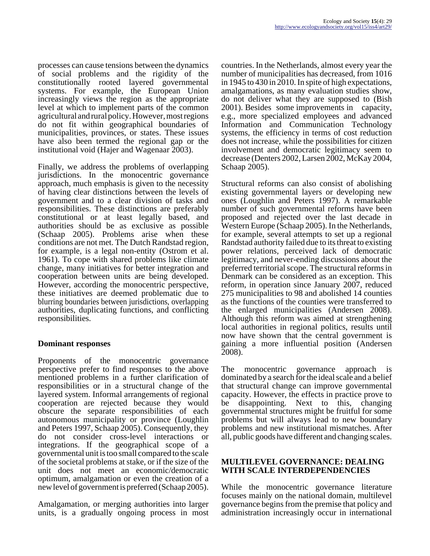processes can cause tensions between the dynamics of social problems and the rigidity of the constitutionally rooted layered governmental systems. For example, the European Union increasingly views the region as the appropriate level at which to implement parts of the common agricultural and rural policy. However, most regions do not fit within geographical boundaries of municipalities, provinces, or states. These issues have also been termed the regional gap or the institutional void (Hajer and Wagenaar 2003).

Finally, we address the problems of overlapping jurisdictions. In the monocentric governance approach, much emphasis is given to the necessity of having clear distinctions between the levels of government and to a clear division of tasks and responsibilities. These distinctions are preferably constitutional or at least legally based, and authorities should be as exclusive as possible (Schaap 2005). Problems arise when these conditions are not met. The Dutch Randstad region, for example, is a legal non-entity (Ostrom et al. 1961). To cope with shared problems like climate change, many initiatives for better integration and cooperation between units are being developed. However, according the monocentric perspective, these initiatives are deemed problematic due to blurring boundaries between jurisdictions, overlapping authorities, duplicating functions, and conflicting responsibilities.

## **Dominant responses**

Proponents of the monocentric governance perspective prefer to find responses to the above mentioned problems in a further clarification of responsibilities or in a structural change of the layered system. Informal arrangements of regional cooperation are rejected because they would obscure the separate responsibilities of each autonomous municipality or province (Loughlin and Peters 1997, Schaap 2005). Consequently, they do not consider cross-level interactions or integrations. If the geographical scope of a governmental unit is too small compared to the scale of the societal problems at stake, or if the size of the unit does not meet an economic/democratic optimum, amalgamation or even the creation of a new level of government is preferred (Schaap 2005).

Amalgamation, or merging authorities into larger units, is a gradually ongoing process in most

countries. In the Netherlands, almost every year the number of municipalities has decreased, from 1016 in 1945 to 430 in 2010. In spite of high expectations, amalgamations, as many evaluation studies show, do not deliver what they are supposed to (Bish 2001). Besides some improvements in capacity, e.g., more specialized employees and advanced Information and Communication Technology systems, the efficiency in terms of cost reduction does not increase, while the possibilities for citizen involvement and democratic legitimacy seem to decrease (Denters 2002, Larsen 2002, McKay 2004, Schaap 2005).

Structural reforms can also consist of abolishing existing governmental layers or developing new ones (Loughlin and Peters 1997). A remarkable number of such governmental reforms have been proposed and rejected over the last decade in Western Europe (Schaap 2005). In the Netherlands, for example, several attempts to set up a regional Randstad authority failed due to its threat to existing power relations, perceived lack of democratic legitimacy, and never-ending discussions about the preferred territorial scope. The structural reforms in Denmark can be considered as an exception. This reform, in operation since January 2007, reduced 275 municipalities to 98 and abolished 14 counties as the functions of the counties were transferred to the enlarged municipalities (Andersen 2008). Although this reform was aimed at strengthening local authorities in regional politics, results until now have shown that the central government is gaining a more influential position (Andersen 2008).

The monocentric governance approach is dominated by a search for the ideal scale and a belief that structural change can improve governmental capacity. However, the effects in practice prove to be disappointing. Next to this, changing governmental structures might be fruitful for some problems but will always lead to new boundary problems and new institutional mismatches. After all, public goods have different and changing scales.

## **MULTILEVEL GOVERNANCE: DEALING WITH SCALE INTERDEPENDENCIES**

While the monocentric governance literature focuses mainly on the national domain, multilevel governance begins from the premise that policy and administration increasingly occur in international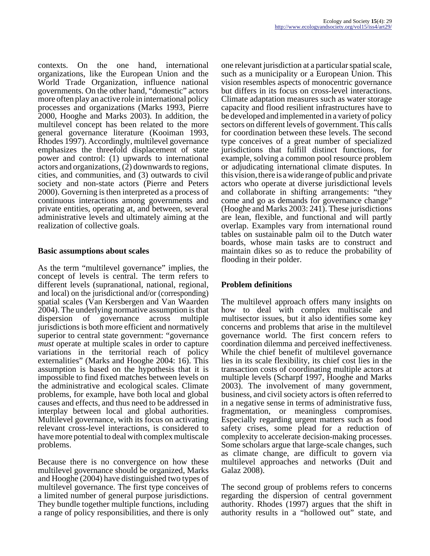contexts. On the one hand, international organizations, like the European Union and the World Trade Organization, influence national governments. On the other hand, "domestic" actors more often play an active role in international policy processes and organizations (Marks 1993, Pierre 2000, Hooghe and Marks 2003). In addition, the multilevel concept has been related to the more general governance literature (Kooiman 1993, Rhodes 1997). Accordingly, multilevel governance emphasizes the threefold displacement of state power and control: (1) upwards to international actors and organizations, (2) downwards to regions, cities, and communities, and (3) outwards to civil society and non-state actors (Pierre and Peters 2000). Governing is then interpreted as a process of continuous interactions among governments and private entities, operating at, and between, several administrative levels and ultimately aiming at the realization of collective goals.

## **Basic assumptions about scales**

As the term "multilevel governance" implies, the concept of levels is central. The term refers to different levels (supranational, national, regional, and local) on the jurisdictional and/or (corresponding) spatial scales (Van Kersbergen and Van Waarden 2004). The underlying normative assumption is that dispersion of governance across multiple jurisdictions is both more efficient and normatively superior to central state government: "governance *must* operate at multiple scales in order to capture variations in the territorial reach of policy externalities" (Marks and Hooghe 2004: 16). This assumption is based on the hypothesis that it is impossible to find fixed matches between levels on the administrative and ecological scales. Climate problems, for example, have both local and global causes and effects, and thus need to be addressed in interplay between local and global authorities. Multilevel governance, with its focus on activating relevant cross-level interactions, is considered to have more potential to deal with complex multiscale problems.

Because there is no convergence on how these multilevel governance should be organized, Marks and Hooghe (2004) have distinguished two types of multilevel governance. The first type conceives of a limited number of general purpose jurisdictions. They bundle together multiple functions, including a range of policy responsibilities, and there is only

one relevant jurisdiction at a particular spatial scale, such as a municipality or a European Union. This vision resembles aspects of monocentric governance but differs in its focus on cross-level interactions. Climate adaptation measures such as water storage capacity and flood resilient infrastructures have to be developed and implemented in a variety of policy sectors on different levels of government. This calls for coordination between these levels. The second type conceives of a great number of specialized jurisdictions that fulfill distinct functions, for example, solving a common pool resource problem or adjudicating international climate disputes. In this vision, there is a wide range of public and private actors who operate at diverse jurisdictional levels and collaborate in shifting arrangements: "they come and go as demands for governance change" (Hooghe and Marks 2003: 241). These jurisdictions are lean, flexible, and functional and will partly overlap. Examples vary from international round tables on sustainable palm oil to the Dutch water boards, whose main tasks are to construct and maintain dikes so as to reduce the probability of flooding in their polder.

# **Problem definitions**

The multilevel approach offers many insights on how to deal with complex multiscale and multisector issues, but it also identifies some key concerns and problems that arise in the multilevel governance world. The first concern refers to coordination dilemma and perceived ineffectiveness. While the chief benefit of multilevel governance lies in its scale flexibility, its chief cost lies in the transaction costs of coordinating multiple actors at multiple levels (Scharpf 1997, Hooghe and Marks 2003). The involvement of many government, business, and civil society actors is often referred to in a negative sense in terms of administrative fuss, fragmentation, or meaningless compromises. Especially regarding urgent matters such as food safety crises, some plead for a reduction of complexity to accelerate decision-making processes. Some scholars argue that large-scale changes, such as climate change, are difficult to govern via multilevel approaches and networks (Duit and Galaz 2008).

The second group of problems refers to concerns regarding the dispersion of central government authority. Rhodes (1997) argues that the shift in authority results in a "hollowed out" state, and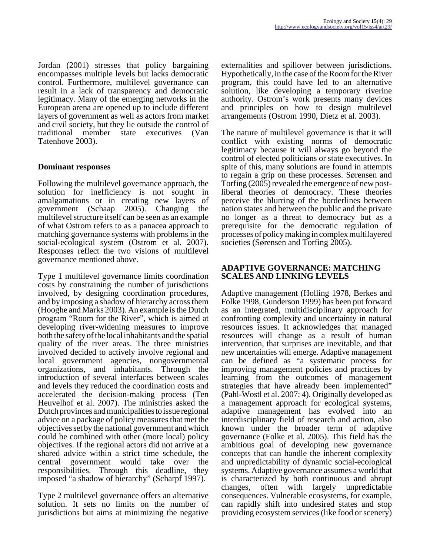Jordan (2001) stresses that policy bargaining encompasses multiple levels but lacks democratic control. Furthermore, multilevel governance can result in a lack of transparency and democratic legitimacy. Many of the emerging networks in the European arena are opened up to include different layers of government as well as actors from market and civil society, but they lie outside the control of traditional member state executives (Van Tatenhove 2003).

## **Dominant responses**

Following the multilevel governance approach, the solution for inefficiency is not sought in amalgamations or in creating new layers of government (Schaap 2005). Changing the multilevel structure itself can be seen as an example of what Ostrom refers to as a panacea approach to matching governance systems with problems in the social-ecological system (Ostrom et al. 2007). Responses reflect the two visions of multilevel governance mentioned above.

Type 1 multilevel governance limits coordination costs by constraining the number of jurisdictions involved, by designing coordination procedures, and by imposing a shadow of hierarchy across them (Hooghe and Marks 2003). An example is the Dutch program "Room for the River", which is aimed at developing river-widening measures to improve both the safety of the local inhabitants and the spatial quality of the river areas. The three ministries involved decided to actively involve regional and local government agencies, nongovernmental organizations, and inhabitants. Through the introduction of several interfaces between scales and levels they reduced the coordination costs and accelerated the decision-making process (Ten Heuvelhof et al. 2007). The ministries asked the Dutch provinces and municipalities to issue regional advice on a package of policy measures that met the objectives set by the national government and which could be combined with other (more local) policy objectives. If the regional actors did not arrive at a shared advice within a strict time schedule, the central government would take over the responsibilities. Through this deadline, they imposed "a shadow of hierarchy" (Scharpf 1997).

Type 2 multilevel governance offers an alternative solution. It sets no limits on the number of jurisdictions but aims at minimizing the negative

externalities and spillover between jurisdictions. Hypothetically, in the case of the Room for the River program, this could have led to an alternative solution, like developing a temporary riverine authority. Ostrom's work presents many devices and principles on how to design multilevel arrangements (Ostrom 1990, Dietz et al. 2003).

The nature of multilevel governance is that it will conflict with existing norms of democratic legitimacy because it will always go beyond the control of elected politicians or state executives. In spite of this, many solutions are found in attempts to regain a grip on these processes. Sørensen and Torfing (2005) revealed the emergence of new postliberal theories of democracy. These theories perceive the blurring of the borderlines between nation states and between the public and the private no longer as a threat to democracy but as a prerequisite for the democratic regulation of processes of policy making in complex multilayered societies (Sørensen and Torfing 2005).

## **ADAPTIVE GOVERNANCE: MATCHING SCALES AND LINKING LEVELS**

Adaptive management (Holling 1978, Berkes and Folke 1998, Gunderson 1999) has been put forward as an integrated, multidisciplinary approach for confronting complexity and uncertainty in natural resources issues. It acknowledges that managed resources will change as a result of human intervention, that surprises are inevitable, and that new uncertainties will emerge. Adaptive management can be defined as "a systematic process for improving management policies and practices by learning from the outcomes of management strategies that have already been implemented" (Pahl-Wostl et al. 2007: 4). Originally developed as a management approach for ecological systems, adaptive management has evolved into an interdisciplinary field of research and action, also known under the broader term of adaptive governance (Folke et al. 2005). This field has the ambitious goal of developing new governance concepts that can handle the inherent complexity and unpredictability of dynamic social-ecological systems. Adaptive governance assumes a world that is characterized by both continuous and abrupt changes, often with largely unpredictable consequences. Vulnerable ecosystems, for example, can rapidly shift into undesired states and stop providing ecosystem services (like food or scenery)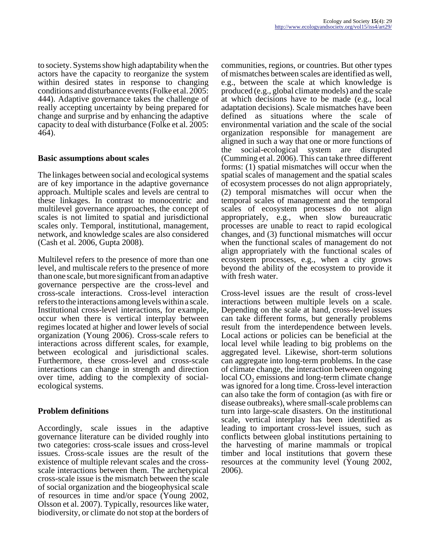to society. Systems show high adaptability when the actors have the capacity to reorganize the system within desired states in response to changing conditions and disturbance events (Folke et al. 2005: 444). Adaptive governance takes the challenge of really accepting uncertainty by being prepared for change and surprise and by enhancing the adaptive capacity to deal with disturbance (Folke et al. 2005: 464).

## **Basic assumptions about scales**

The linkages between social and ecological systems are of key importance in the adaptive governance approach. Multiple scales and levels are central to these linkages. In contrast to monocentric and multilevel governance approaches, the concept of scales is not limited to spatial and jurisdictional scales only. Temporal, institutional, management, network, and knowledge scales are also considered (Cash et al. 2006, Gupta 2008).

Multilevel refers to the presence of more than one level, and multiscale refers to the presence of more than one scale, but more significant from an adaptive governance perspective are the cross-level and cross-scale interactions. Cross-level interaction refers to the interactions among levels within a scale. Institutional cross-level interactions, for example, occur when there is vertical interplay between regimes located at higher and lower levels of social organization (Young 2006). Cross-scale refers to interactions across different scales, for example, between ecological and jurisdictional scales. Furthermore, these cross-level and cross-scale interactions can change in strength and direction over time, adding to the complexity of socialecological systems.

## **Problem definitions**

Accordingly, scale issues in the adaptive governance literature can be divided roughly into two categories: cross-scale issues and cross-level issues. Cross-scale issues are the result of the existence of multiple relevant scales and the crossscale interactions between them. The archetypical cross-scale issue is the mismatch between the scale of social organization and the biogeophysical scale of resources in time and/or space (Young 2002, Olsson et al. 2007). Typically, resources like water, biodiversity, or climate do not stop at the borders of communities, regions, or countries. But other types of mismatches between scales are identified as well, e.g., between the scale at which knowledge is produced (e.g., global climate models) and the scale at which decisions have to be made (e.g., local adaptation decisions). Scale mismatches have been defined as situations where the scale of environmental variation and the scale of the social organization responsible for management are aligned in such a way that one or more functions of the social-ecological system are disrupted (Cumming et al. 2006). This can take three different forms: (1) spatial mismatches will occur when the spatial scales of management and the spatial scales of ecosystem processes do not align appropriately, (2) temporal mismatches will occur when the temporal scales of management and the temporal scales of ecosystem processes do not align appropriately, e.g., when slow bureaucratic processes are unable to react to rapid ecological changes, and (3) functional mismatches will occur when the functional scales of management do not align appropriately with the functional scales of ecosystem processes, e.g., when a city grows beyond the ability of the ecosystem to provide it with fresh water.

Cross-level issues are the result of cross-level interactions between multiple levels on a scale. Depending on the scale at hand, cross-level issues can take different forms, but generally problems result from the interdependence between levels. Local actions or policies can be beneficial at the local level while leading to big problems on the aggregated level. Likewise, short-term solutions can aggregate into long-term problems. In the case of climate change, the interaction between ongoing  $local CO<sub>2</sub> emissions and long-term climate change$ was ignored for a long time. Cross-level interaction can also take the form of contagion (as with fire or disease outbreaks), where small-scale problems can turn into large-scale disasters. On the institutional scale, vertical interplay has been identified as leading to important cross-level issues, such as conflicts between global institutions pertaining to the harvesting of marine mammals or tropical timber and local institutions that govern these resources at the community level (Young 2002, 2006).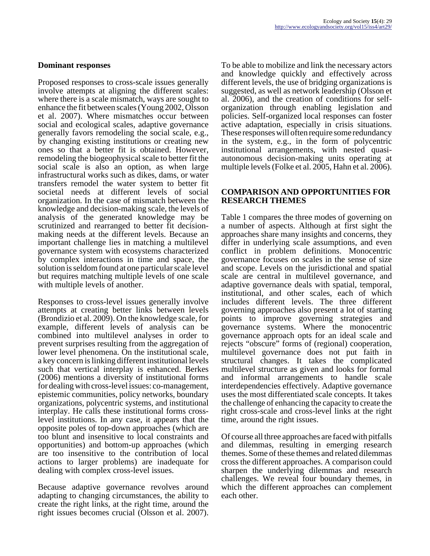#### **Dominant responses**

Proposed responses to cross-scale issues generally involve attempts at aligning the different scales: where there is a scale mismatch, ways are sought to enhance the fit between scales (Young 2002, Olsson et al. 2007). Where mismatches occur between social and ecological scales, adaptive governance generally favors remodeling the social scale, e.g., by changing existing institutions or creating new ones so that a better fit is obtained. However, remodeling the biogeophysical scale to better fit the social scale is also an option, as when large infrastructural works such as dikes, dams, or water transfers remodel the water system to better fit societal needs at different levels of social organization. In the case of mismatch between the knowledge and decision-making scale, the levels of analysis of the generated knowledge may be scrutinized and rearranged to better fit decisionmaking needs at the different levels. Because an important challenge lies in matching a multilevel governance system with ecosystems characterized by complex interactions in time and space, the solution is seldom found at one particular scale level but requires matching multiple levels of one scale with multiple levels of another.

Responses to cross-level issues generally involve attempts at creating better links between levels (Brondizio et al. 2009). On the knowledge scale, for example, different levels of analysis can be combined into multilevel analyses in order to prevent surprises resulting from the aggregation of lower level phenomena. On the institutional scale, a key concern is linking different institutional levels such that vertical interplay is enhanced. Berkes (2006) mentions a diversity of institutional forms for dealing with cross-level issues: co-management, epistemic communities, policy networks, boundary organizations, polycentric systems, and institutional interplay. He calls these institutional forms crosslevel institutions. In any case, it appears that the opposite poles of top-down approaches (which are too blunt and insensitive to local constraints and opportunities) and bottom-up approaches (which are too insensitive to the contribution of local actions to larger problems) are inadequate for dealing with complex cross-level issues.

Because adaptive governance revolves around adapting to changing circumstances, the ability to create the right links, at the right time, around the right issues becomes crucial (Olsson et al. 2007).

To be able to mobilize and link the necessary actors and knowledge quickly and effectively across different levels, the use of bridging organizations is suggested, as well as network leadership (Olsson et al. 2006), and the creation of conditions for selforganization through enabling legislation and policies. Self-organized local responses can foster active adaptation, especially in crisis situations. These responses will often require some redundancy in the system, e.g., in the form of polycentric institutional arrangements, with nested quasiautonomous decision-making units operating at multiple levels (Folke et al. 2005, Hahn et al. 2006).

#### **COMPARISON AND OPPORTUNITIES FOR RESEARCH THEMES**

Table 1 compares the three modes of governing on a number of aspects. Although at first sight the approaches share many insights and concerns, they differ in underlying scale assumptions, and even conflict in problem definitions. Monocentric governance focuses on scales in the sense of size and scope. Levels on the jurisdictional and spatial scale are central in multilevel governance, and adaptive governance deals with spatial, temporal, institutional, and other scales, each of which includes different levels. The three different governing approaches also present a lot of starting points to improve governing strategies and governance systems. Where the monocentric governance approach opts for an ideal scale and rejects "obscure" forms of (regional) cooperation, multilevel governance does not put faith in structural changes. It takes the complicated multilevel structure as given and looks for formal and informal arrangements to handle scale interdependencies effectively. Adaptive governance uses the most differentiated scale concepts. It takes the challenge of enhancing the capacity to create the right cross-scale and cross-level links at the right time, around the right issues.

Of course all three approaches are faced with pitfalls and dilemmas, resulting in emerging research themes. Some of these themes and related dilemmas cross the different approaches. A comparison could sharpen the underlying dilemmas and research challenges. We reveal four boundary themes, in which the different approaches can complement each other.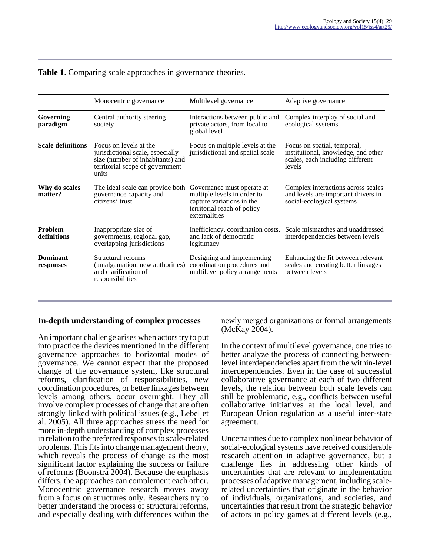|                               | Monocentric governance                                                                                                                     | Multilevel governance                                                                                                                  | Adaptive governance                                                                                              |
|-------------------------------|--------------------------------------------------------------------------------------------------------------------------------------------|----------------------------------------------------------------------------------------------------------------------------------------|------------------------------------------------------------------------------------------------------------------|
| Governing<br>paradigm         | Central authority steering<br>society                                                                                                      | Interactions between public and<br>private actors, from local to<br>global level                                                       | Complex interplay of social and<br>ecological systems                                                            |
| <b>Scale definitions</b>      | Focus on levels at the<br>jurisdictional scale, especially<br>size (number of inhabitants) and<br>territorial scope of government<br>units | Focus on multiple levels at the<br>jurisdictional and spatial scale                                                                    | Focus on spatial, temporal,<br>institutional, knowledge, and other<br>scales, each including different<br>levels |
| Why do scales<br>matter?      | The ideal scale can provide both<br>governance capacity and<br>citizens' trust                                                             | Governance must operate at<br>multiple levels in order to<br>capture variations in the<br>territorial reach of policy<br>externalities | Complex interactions across scales<br>and levels are important drivers in<br>social-ecological systems           |
| <b>Problem</b><br>definitions | Inappropriate size of<br>governments, regional gap,<br>overlapping jurisdictions                                                           | Inefficiency, coordination costs,<br>and lack of democratic<br>legitimacy                                                              | Scale mismatches and unaddressed<br>interdependencies between levels                                             |
| <b>Dominant</b><br>responses  | Structural reforms<br>(amalgamation, new authorities)<br>and clarification of<br>responsibilities                                          | Designing and implementing<br>coordination procedures and<br>multilevel policy arrangements                                            | Enhancing the fit between relevant<br>scales and creating better linkages<br>between levels                      |

#### **Table 1**. Comparing scale approaches in governance theories.

#### **In-depth understanding of complex processes**

An important challenge arises when actors try to put into practice the devices mentioned in the different governance approaches to horizontal modes of governance. We cannot expect that the proposed change of the governance system, like structural reforms, clarification of responsibilities, new coordination procedures, or better linkages between levels among others, occur overnight. They all involve complex processes of change that are often strongly linked with political issues (e.g., Lebel et al. 2005). All three approaches stress the need for more in-depth understanding of complex processes in relation to the preferred responses to scale-related problems. This fits into change management theory, which reveals the process of change as the most significant factor explaining the success or failure of reforms (Boonstra 2004). Because the emphasis differs, the approaches can complement each other. Monocentric governance research moves away from a focus on structures only. Researchers try to better understand the process of structural reforms, and especially dealing with differences within the

newly merged organizations or formal arrangements (McKay 2004).

In the context of multilevel governance, one tries to better analyze the process of connecting betweenlevel interdependencies apart from the within-level interdependencies. Even in the case of successful collaborative governance at each of two different levels, the relation between both scale levels can still be problematic, e.g., conflicts between useful collaborative initiatives at the local level, and European Union regulation as a useful inter-state agreement.

Uncertainties due to complex nonlinear behavior of social-ecological systems have received considerable research attention in adaptive governance, but a challenge lies in addressing other kinds of uncertainties that are relevant to implementation processes of adaptive management, including scalerelated uncertainties that originate in the behavior of individuals, organizations, and societies, and uncertainties that result from the strategic behavior of actors in policy games at different levels (e.g.,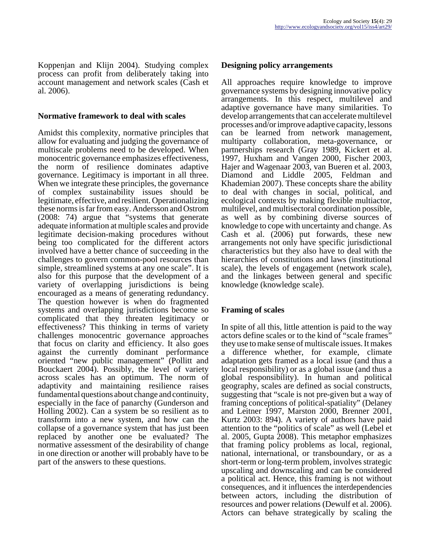Koppenjan and Klijn 2004). Studying complex process can profit from deliberately taking into account management and network scales (Cash et al. 2006).

#### **Normative framework to deal with scales**

Amidst this complexity, normative principles that allow for evaluating and judging the governance of multiscale problems need to be developed. When monocentric governance emphasizes effectiveness, the norm of resilience dominates adaptive governance. Legitimacy is important in all three. When we integrate these principles, the governance of complex sustainability issues should be legitimate, effective, and resilient. Operationalizing these norms is far from easy. Andersson and Ostrom (2008: 74) argue that "systems that generate adequate information at multiple scales and provide legitimate decision-making procedures without being too complicated for the different actors involved have a better chance of succeeding in the challenges to govern common-pool resources than simple, streamlined systems at any one scale". It is also for this purpose that the development of a variety of overlapping jurisdictions is being encouraged as a means of generating redundancy. The question however is when do fragmented systems and overlapping jurisdictions become so complicated that they threaten legitimacy or effectiveness? This thinking in terms of variety challenges monocentric governance approaches that focus on clarity and efficiency. It also goes against the currently dominant performance oriented "new public management" (Pollitt and Bouckaert 2004). Possibly, the level of variety across scales has an optimum. The norm of adaptivity and maintaining resilience raises fundamental questions about change and continuity, especially in the face of panarchy (Gunderson and Holling 2002). Can a system be so resilient as to transform into a new system, and how can the collapse of a governance system that has just been replaced by another one be evaluated? The normative assessment of the desirability of change in one direction or another will probably have to be part of the answers to these questions.

#### **Designing policy arrangements**

All approaches require knowledge to improve governance systems by designing innovative policy arrangements. In this respect, multilevel and adaptive governance have many similarities. To develop arrangements that can accelerate multilevel processes and/or improve adaptive capacity, lessons can be learned from network management, multiparty collaboration, meta-governance, or partnerships research (Gray 1989, Kickert et al. 1997, Huxham and Vangen 2000, Fischer 2003, Hajer and Wagenaar 2003, van Bueren et al. 2003, Diamond and Liddle 2005, Feldman and Khademian 2007). These concepts share the ability to deal with changes in social, political, and ecological contexts by making flexible multiactor, multilevel, and multisectoral coordination possible, as well as by combining diverse sources of knowledge to cope with uncertainty and change. As Cash et al. (2006) put forwards, these new arrangements not only have specific jurisdictional characteristics but they also have to deal with the hierarchies of constitutions and laws (institutional scale), the levels of engagement (network scale), and the linkages between general and specific knowledge (knowledge scale).

## **Framing of scales**

In spite of all this, little attention is paid to the way actors define scales or to the kind of "scale frames" they use to make sense of multiscale issues. It makes a difference whether, for example, climate adaptation gets framed as a local issue (and thus a local responsibility) or as a global issue (and thus a global responsibility). In human and political geography, scales are defined as social constructs, suggesting that "scale is not pre-given but a way of framing conceptions of political-spatiality" (Delaney and Leitner 1997, Marston 2000, Brenner 2001, Kurtz 2003: 894). A variety of authors have paid attention to the "politics of scale" as well (Lebel et al. 2005, Gupta 2008). This metaphor emphasizes that framing policy problems as local, regional, national, international, or transboundary, or as a short-term or long-term problem, involves strategic upscaling and downscaling and can be considered a political act. Hence, this framing is not without consequences, and it influences the interdependencies between actors, including the distribution of resources and power relations (Dewulf et al. 2006). Actors can behave strategically by scaling the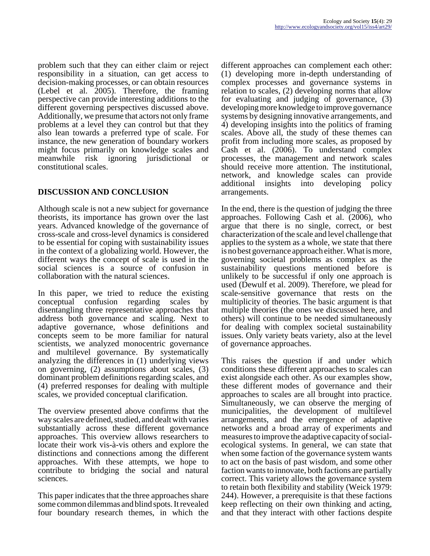problem such that they can either claim or reject responsibility in a situation, can get access to decision-making processes, or can obtain resources (Lebel et al. 2005). Therefore, the framing perspective can provide interesting additions to the different governing perspectives discussed above. Additionally, we presume that actors not only frame problems at a level they can control but that they also lean towards a preferred type of scale. For instance, the new generation of boundary workers might focus primarily on knowledge scales and meanwhile risk ignoring jurisdictional or constitutional scales.

# **DISCUSSION AND CONCLUSION**

Although scale is not a new subject for governance theorists, its importance has grown over the last years. Advanced knowledge of the governance of cross-scale and cross-level dynamics is considered to be essential for coping with sustainability issues in the context of a globalizing world. However, the different ways the concept of scale is used in the social sciences is a source of confusion in collaboration with the natural sciences.

In this paper, we tried to reduce the existing conceptual confusion regarding scales by disentangling three representative approaches that address both governance and scaling. Next to adaptive governance, whose definitions and concepts seem to be more familiar for natural scientists, we analyzed monocentric governance and multilevel governance. By systematically analyzing the differences in (1) underlying views on governing, (2) assumptions about scales, (3) dominant problem definitions regarding scales, and (4) preferred responses for dealing with multiple scales, we provided conceptual clarification.

The overview presented above confirms that the way scales are defined, studied, and dealt with varies substantially across these different governance approaches. This overview allows researchers to locate their work vis-à-vis others and explore the distinctions and connections among the different approaches. With these attempts, we hope to contribute to bridging the social and natural sciences.

This paper indicates that the three approaches share some common dilemmas and blind spots. It revealed four boundary research themes, in which the

different approaches can complement each other: (1) developing more in-depth understanding of complex processes and governance systems in relation to scales, (2) developing norms that allow for evaluating and judging of governance, (3) developing more knowledge to improve governance systems by designing innovative arrangements, and 4) developing insights into the politics of framing scales. Above all, the study of these themes can profit from including more scales, as proposed by Cash et al. (2006). To understand complex processes, the management and network scales should receive more attention. The institutional, network, and knowledge scales can provide<br>additional insights into developing policy additional insights into arrangements.

In the end, there is the question of judging the three approaches. Following Cash et al. (2006), who argue that there is no single, correct, or best characterization of the scale and level challenge that applies to the system as a whole, we state that there is no best governance approach either. What is more, governing societal problems as complex as the sustainability questions mentioned before is unlikely to be successful if only one approach is used (Dewulf et al. 2009). Therefore, we plead for scale-sensitive governance that rests on the multiplicity of theories. The basic argument is that multiple theories (the ones we discussed here, and others) will continue to be needed simultaneously for dealing with complex societal sustainability issues. Only variety beats variety, also at the level of governance approaches.

This raises the question if and under which conditions these different approaches to scales can exist alongside each other. As our examples show, these different modes of governance and their approaches to scales are all brought into practice. Simultaneously, we can observe the merging of municipalities, the development of multilevel arrangements, and the emergence of adaptive networks and a broad array of experiments and measures to improve the adaptive capacity of socialecological systems. In general, we can state that when some faction of the governance system wants to act on the basis of past wisdom, and some other faction wants to innovate, both factions are partially correct. This variety allows the governance system to retain both flexibility and stability (Weick 1979: 244). However, a prerequisite is that these factions keep reflecting on their own thinking and acting, and that they interact with other factions despite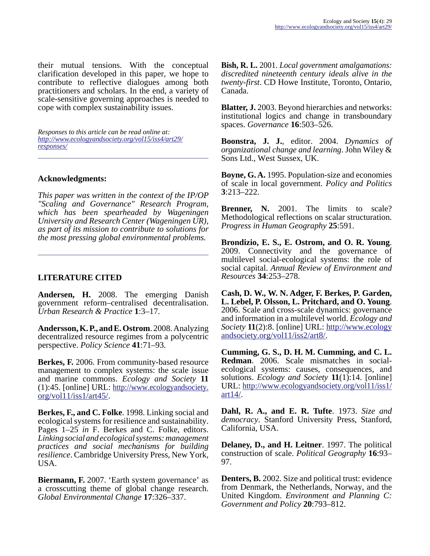their mutual tensions. With the conceptual clarification developed in this paper, we hope to contribute to reflective dialogues among both practitioners and scholars. In the end, a variety of scale-sensitive governing approaches is needed to cope with complex sustainability issues.

*Responses to this article can be read online at: [http://www](http://www.ecologyandsociety.org/vol15/iss4/art29/responses/).ecologyandsociety.org/vol15/iss4/art29/ responses/*

## **Acknowledgments:**

*This paper was written in the context of the IP/OP "Scaling and Governance" Research Program, which has been spearheaded by Wageningen University and Research Center (Wageningen UR), as part of its mission to contribute to solutions for the most pressing global environmental problems.*

## **LITERATURE CITED**

**Andersen, H.** 2008. The emerging Danish government reform–centralised decentralisation. *Urban Research & Practice* **1**:3–17.

**Andersson, K. P., and E. Ostrom**. 2008. Analyzing decentralized resource regimes from a polycentric perspective. *Policy Science* **41**:71–93.

**Berkes, F.** 2006. From community-based resource management to complex systems: the scale issue and marine commons. *Ecology and Society* **11** (1):45. [online] URL: [http://www.ecologyandsociety.](http://www.ecologyandsociety.org/vol11/iss1/art45/) [org/vol11/iss1/art45/](http://www.ecologyandsociety.org/vol11/iss1/art45/).

**Berkes, F., and C. Folke**. 1998. Linking social and ecological systems for resilience and sustainability. Pages 1–25 *in* F. Berkes and C. Folke, editors. *Linking social and ecological systems: management practices and social mechanisms for building resilience*. Cambridge University Press, New York, USA.

**Biermann, F.** 2007. 'Earth system governance' as a crosscutting theme of global change research. *Global Environmental Change* **17**:326–337.

**Bish, R. L.** 2001. *Local government amalgamations: discredited nineteenth century ideals alive in the twenty-first*. CD Howe Institute, Toronto, Ontario, Canada.

**Blatter, J.** 2003. Beyond hierarchies and networks: institutional logics and change in transboundary spaces. *Governance* **16**:503–526.

**Boonstra, J. J.**, editor. 2004. *Dynamics of organizational change and learning*. John Wiley & Sons Ltd., West Sussex, UK.

**Boyne, G. A.** 1995. Population-size and economies of scale in local government. *Policy and Politics* **3**:213–222.

**Brenner, N.** 2001. The limits to scale? Methodological reflections on scalar structuration. *Progress in Human Geography* **25**:591.

**Brondizio, E. S., E. Ostrom, and O. R. Young**. 2009. Connectivity and the governance of multilevel social-ecological systems: the role of social capital. *Annual Review of Environment and Resources* **34**:253–278.

**Cash, D. W., W. N. Adger, F. Berkes, P. Garden, L. Lebel, P. Olsson, L. Pritchard, and O. Young**. 2006. Scale and cross-scale dynamics: governance and information in a multilevel world. *Ecology and Society* **11**(2):8. [online] URL: [http://www.ecology](http://www.ecologyandsociety.org/vol11/iss2/art8/) [andsociety.org/vol11/iss2/art8/](http://www.ecologyandsociety.org/vol11/iss2/art8/).

**Cumming, G. S., D. H. M. Cumming, and C. L. Redman**. 2006. Scale mismatches in socialecological systems: causes, consequences, and solutions. *Ecology and Society* **11**(1):14. [online] URL: [http://www.ecologyandsociety.org/vol11/iss1/](http://www.ecologyandsociety.org/vol11/iss1/art14/) [art14/.](http://www.ecologyandsociety.org/vol11/iss1/art14/)

**Dahl, R. A., and E. R. Tufte**. 1973. *Size and democracy*. Stanford University Press, Stanford, California, USA.

**Delaney, D., and H. Leitner**. 1997. The political construction of scale. *Political Geography* **16**:93– 97.

**Denters, B.** 2002. Size and political trust: evidence from Denmark, the Netherlands, Norway, and the United Kingdom. *Environment and Planning C: Government and Policy* **20**:793–812.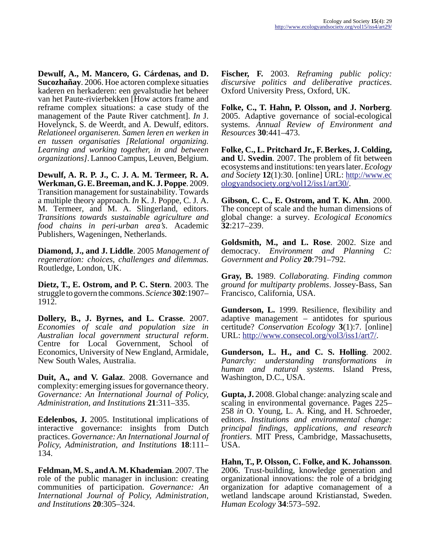**Dewulf, A., M. Mancero, G. Cárdenas, and D. Sucozhañay**. 2006. Hoe actoren complexe situaties kaderen en herkaderen: een gevalstudie het beheer van het Paute-rivierbekken [How actors frame and reframe complex situations: a case study of the management of the Paute River catchment]. *In* J. Hovelynck, S. de Weerdt, and A. Dewulf, editors. *Relationeel organiseren. Samen leren en werken in en tussen organisaties [Relational organizing. Learning and working together, in and between organizations]*. Lannoo Campus, Leuven, Belgium.

**Dewulf, A. R. P. J., C. J. A. M. Termeer, R. A. Werkman, G. E. Breeman, and K. J. Poppe**. 2009. Transition management for sustainability. Towards a multiple theory approach. *In* K. J. Poppe, C. J. A. M. Termeer, and M. A. Slingerland, editors. *Transitions towards sustainable agriculture and food chains in peri-urban area's*. Academic Publishers, Wageningen, Netherlands.

**Diamond, J., and J. Liddle**. 2005 *Management of regeneration: choices, challenges and dilemmas.* Routledge, London, UK.

**Dietz, T., E. Ostrom, and P. C. Stern**. 2003. The struggle to govern the commons. *Science* **302**:1907– 1912.

**Dollery, B., J. Byrnes, and L. Crasse**. 2007. *Economies of scale and population size in Australian local government structural reform*. Centre for Local Government, School of Economics, University of New England, Armidale, New South Wales, Australia.

**Duit, A., and V. Galaz**. 2008. Governance and complexity: emerging issues for governance theory. *Governance: An International Journal of Policy, Administration, and Institutions* **21**:311–335.

**Edelenbos, J.** 2005. Institutional implications of interactive governance: insights from Dutch practices. *Governance: An International Journal of Policy, Administration, and Institutions* **18**:111– 134.

**Feldman, M. S., and A. M. Khademian**. 2007. The role of the public manager in inclusion: creating communities of participation. *Governance: An International Journal of Policy, Administration, and Institutions* **20**:305–324.

**Fischer, F.** 2003. *Reframing public policy: discursive politics and deliberative practices*. Oxford University Press, Oxford, UK.

**Folke, C., T. Hahn, P. Olsson, and J. Norberg**. 2005. Adaptive governance of social-ecological systems. *Annual Review of Environment and Resources* **30**:441–473.

**Folke, C., L. Pritchard Jr., F. Berkes, J. Colding, and U. Svedin**. 2007. The problem of fit between ecosystems and institutions: ten years later. *Ecology and Society* **12**(1):30. [online] URL: [http://www.ec](http://www.ecologyandsociety.org/vol12/iss1/art30/) [ologyandsociety.org/vol12/iss1/art30/.](http://www.ecologyandsociety.org/vol12/iss1/art30/)

**Gibson, C. C., E. Ostrom, and T. K. Ahn**. 2000. The concept of scale and the human dimensions of global change: a survey. *Ecological Economics* **32**:217–239.

**Goldsmith, M., and L. Rose**. 2002. Size and democracy. *Environment and Planning C: Government and Policy* **20**:791–792.

**Gray, B.** 1989. *Collaborating. Finding common ground for multiparty problems*. Jossey-Bass, San Francisco, California, USA.

**Gunderson, L.** 1999. Resilience, flexibility and adaptive management – antidotes for spurious certitude? *Conservation Ecology* **3**(1):7. [online] URL:<http://www.consecol.org/vol3/iss1/art7/>.

**Gunderson, L. H., and C. S. Holling**. 2002. *Panarchy: understanding transformations in human and natural systems*. Island Press, Washington, D.C., USA.

**Gupta, J.** 2008. Global change: analyzing scale and scaling in environmental governance. Pages 225– 258 *in* O. Young, L. A. King, and H. Schroeder, editors. *Institutions and environmental change: principal findings, applications, and research frontiers*. MIT Press, Cambridge, Massachusetts, USA.

**Hahn, T., P. Olsson, C. Folke, and K. Johansson**. 2006. Trust-building, knowledge generation and organizational innovations: the role of a bridging organization for adaptive comanagement of a wetland landscape around Kristianstad, Sweden. *Human Ecology* **34**:573–592.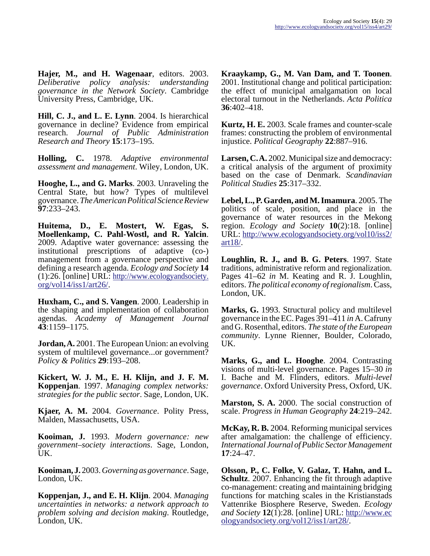**Hajer, M., and H. Wagenaar**, editors. 2003. *Deliberative policy analysis: understanding governance in the Network Society*. Cambridge University Press, Cambridge, UK.

**Hill, C. J., and L. E. Lynn**. 2004. Is hierarchical governance in decline? Evidence from empirical research. *Journal of Public Administration Research and Theory* **15**:173–195.

**Holling, C.** 1978. *Adaptive environmental assessment and management*. Wiley, London, UK.

**Hooghe, L., and G. Marks**. 2003. Unraveling the Central State, but how? Types of multilevel governance. *The American Political Science Review* **97**:233–243.

**Huitema, D., E. Mostert, W. Egas, S. Moellenkamp, C. Pahl-Wostl, and R. Yalcin**. 2009. Adaptive water governance: assessing the institutional prescriptions of adaptive (co-) management from a governance perspective and defining a research agenda. *Ecology and Society* **14** (1):26. [online] URL: [http://www.ecologyandsociety.](http://www.ecologyandsociety.org/vol14/iss1/art26/) [org/vol14/iss1/art26/](http://www.ecologyandsociety.org/vol14/iss1/art26/).

**Huxham, C., and S. Vangen**. 2000. Leadership in the shaping and implementation of collaboration agendas. *Academy of Management Journal* **43**:1159–1175.

**Jordan, A.** 2001. The European Union: an evolving system of multilevel governance...or government? *Policy & Politics* **29**:193–208.

**Kickert, W. J. M., E. H. Klijn, and J. F. M. Koppenjan**. 1997. *Managing complex networks: strategies for the public sector*. Sage, London, UK.

**Kjaer, A. M.** 2004. *Governance*. Polity Press, Malden, Massachusetts, USA.

**Kooiman, J.** 1993. *Modern governance: new government–society interactions*. Sage, London, UK.

**Kooiman, J.** 2003. *Governing as governance*. Sage, London, UK.

**Koppenjan, J., and E. H. Klijn**. 2004. *Managing uncertainties in networks: a network approach to problem solving and decision making*. Routledge, London, UK.

**Kraaykamp, G., M. Van Dam, and T. Toonen**. 2001. Institutional change and political participation: the effect of municipal amalgamation on local electoral turnout in the Netherlands. *Acta Politica* **36**:402–418.

**Kurtz, H. E.** 2003. Scale frames and counter-scale frames: constructing the problem of environmental injustice. *Political Geography* **22**:887–916.

**Larsen, C. A.** 2002. Municipal size and democracy: a critical analysis of the argument of proximity based on the case of Denmark. *Scandinavian Political Studies* **25**:317–332.

**Lebel, L., P. Garden, and M. Imamura**. 2005. The politics of scale, position, and place in the governance of water resources in the Mekong region. *Ecology and Society* **10**(2):18. [online] URL: [http://www.ecologyandsociety.org/vol10/iss2/](http://www.ecologyandsociety.org/vol10/iss2/art18/) [art18/.](http://www.ecologyandsociety.org/vol10/iss2/art18/)

**Loughlin, R. J., and B. G. Peters**. 1997. State traditions, administrative reform and regionalization. Pages 41–62 *in* M. Keating and R. J. Loughlin, editors. *The political economy of regionalism*. Cass, London, UK.

**Marks, G.** 1993. Structural policy and multilevel governance in the EC. Pages 391–411 *in* A. Cafruny and G. Rosenthal, editors. *The state of the European community*. Lynne Rienner, Boulder, Colorado, UK.

**Marks, G., and L. Hooghe**. 2004. Contrasting visions of multi-level governance. Pages 15–30 *in* I. Bache and M. Flinders, editors. *Multi-level governance*. Oxford University Press, Oxford, UK.

**Marston, S. A.** 2000. The social construction of scale. *Progress in Human Geography* **24**:219–242.

**McKay, R. B.** 2004. Reforming municipal services after amalgamation: the challenge of efficiency. *International Journal of Public Sector Management* **17**:24–47.

**Olsson, P., C. Folke, V. Galaz, T. Hahn, and L. Schultz**. 2007. Enhancing the fit through adaptive co-management: creating and maintaining bridging functions for matching scales in the Kristianstads Vattenrike Biosphere Reserve, Sweden. *Ecology and Society* **12**(1):28. [online] URL: [http://www.ec](http://www.ecologyandsociety.org/vol12/iss1/art28/) [ologyandsociety.org/vol12/iss1/art28/.](http://www.ecologyandsociety.org/vol12/iss1/art28/)